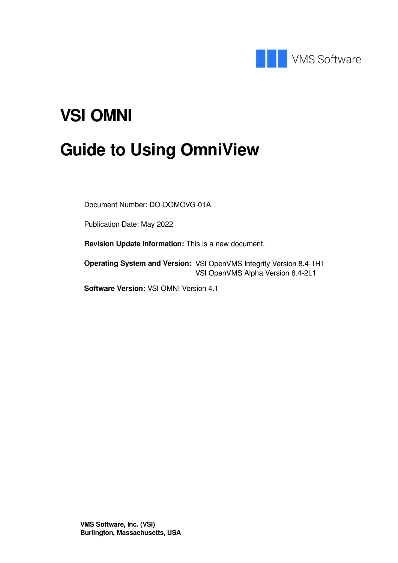

# **VSI OMNI**

# **Guide to Using OmniView**

Document Number: DO-DOMOVG-01A

Publication Date: May 2022

**Revision Update Information:** This is a new document.

**Operating System and Version:** VSI OpenVMS Integrity Version 8.4-1H1 VSI OpenVMS Alpha Version 8.4-2L1

**Software Version:** VSI OMNI Version 4.1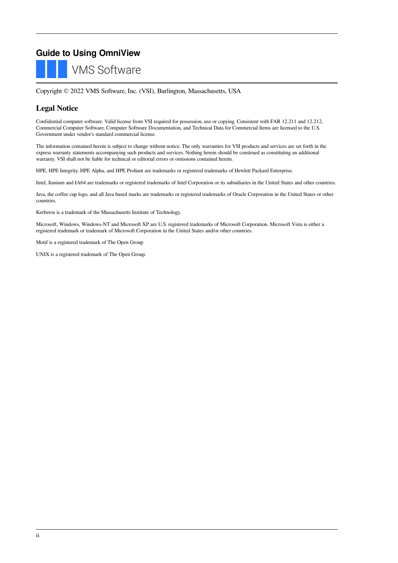## **Guide to Using OmniView**

**VMS Software** 

Copyright © 2022 VMS Software, Inc. (VSI), Burlington, Massachusetts, USA

### **Legal Notice**

Confidential computer software. Valid license from VSI required for possession, use or copying. Consistent with FAR 12.211 and 12.212, Commercial Computer Software, Computer Software Documentation, and Technical Data for Commercial Items are licensed to the U.S. Government under vendor's standard commercial license.

The information contained herein is subject to change without notice. The only warranties for VSI products and services are set forth in the express warranty statements accompanying such products and services. Nothing herein should be construed as constituting an additional warranty. VSI shall not be liable for technical or editorial errors or omissions contained herein.

HPE, HPE Integrity, HPE Alpha, and HPE Proliant are trademarks or registered trademarks of Hewlett Packard Enterprise.

Intel, Itanium and IA64 are trademarks or registered trademarks of Intel Corporation or its subsidiaries in the United States and other countries.

Java, the coffee cup logo, and all Java based marks are trademarks or registered trademarks of Oracle Corporation in the United States or other countries.

Kerberos is a trademark of the Massachusetts Institute of Technology.

Microsoft, Windows, Windows-NT and Microsoft XP are U.S. registered trademarks of Microsoft Corporation. Microsoft Vista is either a registered trademark or trademark of Microsoft Corporation in the United States and/or other countries.

Motif is a registered trademark of The Open Group

UNIX is a registered trademark of The Open Group.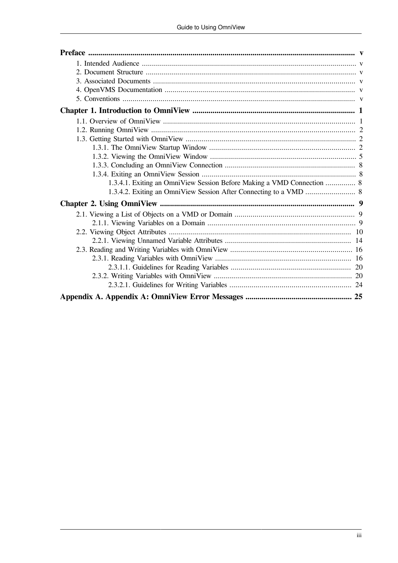| 1.3.4.1. Exiting an OmniView Session Before Making a VMD Connection  8 |  |
|------------------------------------------------------------------------|--|
|                                                                        |  |
|                                                                        |  |
|                                                                        |  |
|                                                                        |  |
|                                                                        |  |
|                                                                        |  |
|                                                                        |  |
|                                                                        |  |
|                                                                        |  |
|                                                                        |  |
|                                                                        |  |
|                                                                        |  |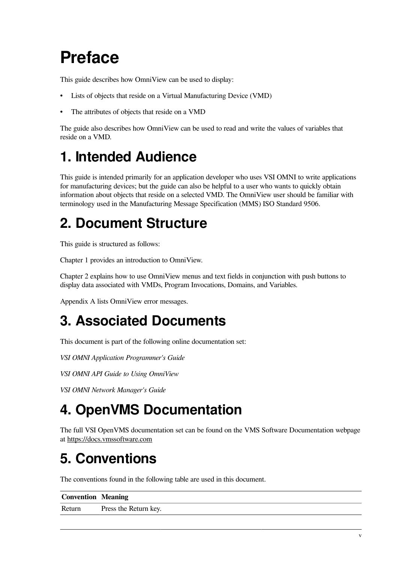# <span id="page-4-0"></span>**Preface**

This guide describes how OmniView can be used to display:

- Lists of objects that reside on a Virtual Manufacturing Device (VMD)
- The attributes of objects that reside on a VMD

The guide also describes how OmniView can be used to read and write the values of variables that reside on a VMD.

# <span id="page-4-1"></span>**1. Intended Audience**

This guide is intended primarily for an application developer who uses VSI OMNI to write applications for manufacturing devices; but the guide can also be helpful to a user who wants to quickly obtain information about objects that reside on a selected VMD. The OmniView user should be familiar with terminology used in the Manufacturing Message Specification (MMS) ISO Standard 9506.

# <span id="page-4-2"></span>**2. Document Structure**

This guide is structured as follows:

[Chapter](#page-6-0) 1 provides an introduction to OmniView.

[Chapter](#page-14-0) 2 explains how to use OmniView menus and text fields in conjunction with push buttons to display data associated with VMDs, Program Invocations, Domains, and Variables.

[Appendix](#page-30-0) A lists OmniView error messages.

# <span id="page-4-3"></span>**3. Associated Documents**

This document is part of the following online documentation set:

*VSI OMNI Application Programmer's Guide*

*VSI OMNI API Guide to Using OmniView*

*VSI OMNI Network Manager's Guide*

# <span id="page-4-4"></span>**4. OpenVMS Documentation**

The full VSI OpenVMS documentation set can be found on the VMS Software Documentation webpage at <https://docs.vmssoftware.com>

# <span id="page-4-5"></span>**5. Conventions**

The conventions found in the following table are used in this document.

| <b>Convention   Meaning</b> |                       |
|-----------------------------|-----------------------|
| Return                      | Press the Return key. |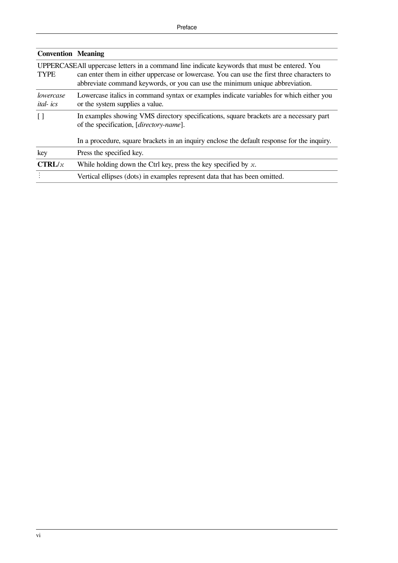| <b>Convention Meaning</b>    |                                                                                                                                                                                                                                                                            |  |  |  |  |  |
|------------------------------|----------------------------------------------------------------------------------------------------------------------------------------------------------------------------------------------------------------------------------------------------------------------------|--|--|--|--|--|
| <b>TYPE</b>                  | UPPERCASEAII uppercase letters in a command line indicate keywords that must be entered. You<br>can enter them in either uppercase or lowercase. You can use the first three characters to<br>abbreviate command keywords, or you can use the minimum unique abbreviation. |  |  |  |  |  |
| lowercase<br><i>ital-ics</i> | Lowercase italics in command syntax or examples indicate variables for which either you<br>or the system supplies a value.                                                                                                                                                 |  |  |  |  |  |
| $\lceil$                     | In examples showing VMS directory specifications, square brackets are a necessary part<br>of the specification, [ <i>directory-name</i> ].                                                                                                                                 |  |  |  |  |  |
|                              | In a procedure, square brackets in an inquiry enclose the default response for the inquiry.                                                                                                                                                                                |  |  |  |  |  |
| key                          | Press the specified key.                                                                                                                                                                                                                                                   |  |  |  |  |  |
| CTRL/x                       | While holding down the Ctrl key, press the key specified by $x$ .                                                                                                                                                                                                          |  |  |  |  |  |
|                              | Vertical ellipses (dots) in examples represent data that has been omitted.                                                                                                                                                                                                 |  |  |  |  |  |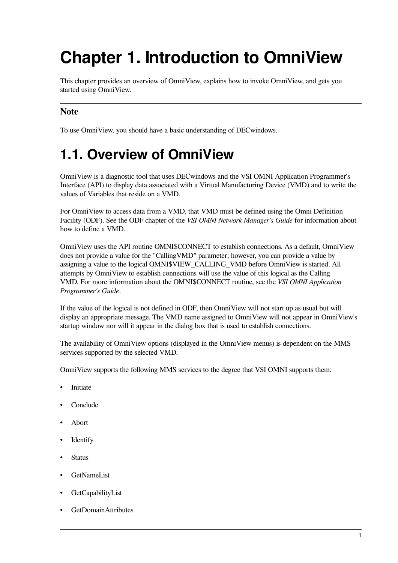# <span id="page-6-0"></span>**Chapter 1. Introduction to OmniView**

This chapter provides an overview of OmniView, explains how to invoke OmniView, and gets you started using OmniView.

## **Note**

To use OmniView, you should have a basic understanding of DECwindows.

# <span id="page-6-1"></span>**1.1. Overview of OmniView**

OmniView is a diagnostic tool that uses DECwindows and the VSI OMNI Application Programmer's Interface (API) to display data associated with a Virtual Manufacturing Device (VMD) and to write the values of Variables that reside on a VMD.

For OmniView to access data from a VMD, that VMD must be defined using the Omni Definition Facility (ODF). See the ODF chapter of the *VSI OMNI Network Manager's Guide* for information about how to define a VMD.

OmniView uses the API routine OMNI\$CONNECT to establish connections. As a default, OmniView does not provide a value for the "CallingVMD" parameter; however, you can provide a value by assigning a value to the logical OMNI\$VIEW\_CALLING\_VMD before OmniView is started. All attempts by OmniView to establish connections will use the value of this logical as the Calling VMD. For more information about the OMNI\$CONNECT routine, see the *VSI OMNI Application Programmer's Guide*.

If the value of the logical is not defined in ODF, then OmniView will not start up as usual but will display an appropriate message. The VMD name assigned to OmniView will not appear in OmniView's startup window nor will it appear in the dialog box that is used to establish connections.

The availability of OmniView options (displayed in the OmniView menus) is dependent on the MMS services supported by the selected VMD.

OmniView supports the following MMS services to the degree that VSI OMNI supports them:

- **Initiate**
- Conclude
- Abort
- **Identify**
- **Status**
- GetNameList
- GetCapabilityList
- GetDomainAttributes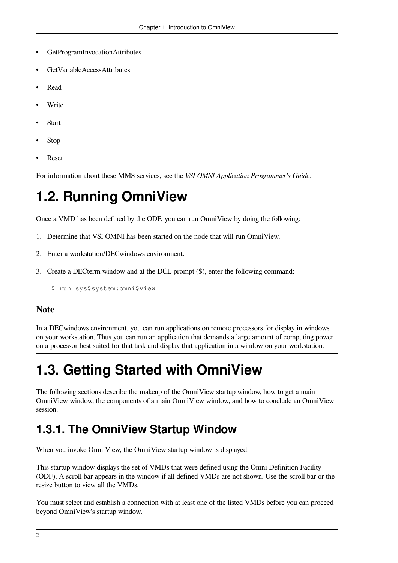- GetProgramInvocationAttributes
- GetVariableAccessAttributes
- Read
- **Write**
- **Start**
- Stop
- Reset

<span id="page-7-0"></span>For information about these MMS services, see the *VSI OMNI Application Programmer's Guide*.

# **1.2. Running OmniView**

Once a VMD has been defined by the ODF, you can run OmniView by doing the following:

- 1. Determine that VSI OMNI has been started on the node that will run OmniView.
- 2. Enter a workstation/DECwindows environment.
- 3. Create a DECterm window and at the DCL prompt (\$), enter the following command:

\$ run sys\$system:omni\$view

### **Note**

In a DECwindows environment, you can run applications on remote processors for display in windows on your workstation. Thus you can run an application that demands a large amount of computing power on a processor best suited for that task and display that application in a window on your workstation.

# <span id="page-7-1"></span>**1.3. Getting Started with OmniView**

The following sections describe the makeup of the OmniView startup window, how to get a main OmniView window, the components of a main OmniView window, and how to conclude an OmniView session.

## <span id="page-7-2"></span>**1.3.1. The OmniView Startup Window**

When you invoke OmniView, the OmniView startup window is displayed.

This startup window displays the set of VMDs that were defined using the Omni Definition Facility (ODF). A scroll bar appears in the window if all defined VMDs are not shown. Use the scroll bar or the resize button to view all the VMDs.

You must select and establish a connection with at least one of the listed VMDs before you can proceed beyond OmniView's startup window.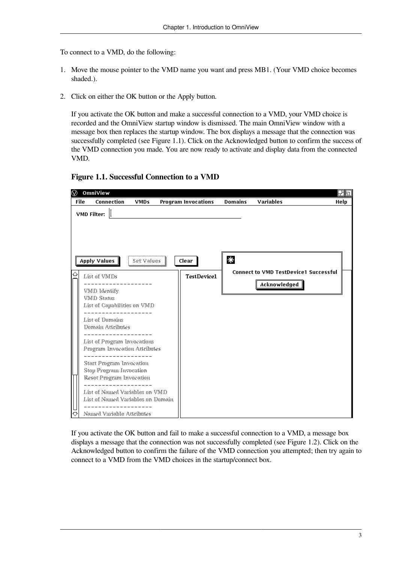To connect to a VMD, do the following:

- 1. Move the mouse pointer to the VMD name you want and press MB1. (Your VMD choice becomes shaded.).
- 2. Click on either the OK button or the Apply button.

If you activate the OK button and make a successful connection to a VMD, your VMD choice is recorded and the OmniView startup window is dismissed. The main OmniView window with a message box then replaces the startup window. The box displays a message that the connection was successfully completed (see [Figure](#page-8-0) 1.1). Click on the Acknowledged button to confirm the success of the VMD connection you made. You are now ready to activate and display data from the connected VMD.

#### <span id="page-8-0"></span>**Figure 1.1. Successful Connection to a VMD**



If you activate the OK button and fail to make a successful connection to a VMD, a message box displays a message that the connection was not successfully completed (see [Figure](#page-9-0) 1.2). Click on the Acknowledged button to confirm the failure of the VMD connection you attempted; then try again to connect to a VMD from the VMD choices in the startup/connect box.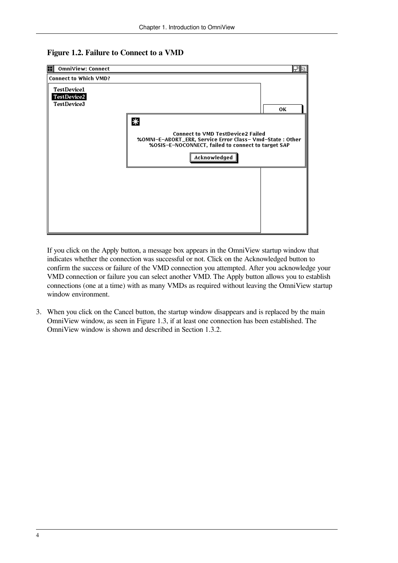#### <span id="page-9-0"></span>**Figure 1.2. Failure to Connect to a VMD**

| $\boxplus$<br>OmniView: Connect |                                                                                                               | 团同 |
|---------------------------------|---------------------------------------------------------------------------------------------------------------|----|
| <b>Connect to Which VMD?</b>    |                                                                                                               |    |
| <b>TestDevice1</b>              |                                                                                                               |    |
| TestDevice2                     |                                                                                                               |    |
| TestDevice3                     |                                                                                                               |    |
|                                 |                                                                                                               | ΟК |
|                                 | 米                                                                                                             |    |
|                                 | <b>Connect to VMD TestDevice2 Failed</b>                                                                      |    |
|                                 | %OMNI-E-ABORT_ERR, Service Error Class-Vmd-State: Other<br>%OSIS-E-NOCONNECT, failed to connect to target SAP |    |
|                                 | Acknowledged                                                                                                  |    |
|                                 |                                                                                                               |    |
|                                 |                                                                                                               |    |
|                                 |                                                                                                               |    |
|                                 |                                                                                                               |    |
|                                 |                                                                                                               |    |
|                                 |                                                                                                               |    |
|                                 |                                                                                                               |    |

If you click on the Apply button, a message box appears in the OmniView startup window that indicates whether the connection was successful or not. Click on the Acknowledged button to confirm the success or failure of the VMD connection you attempted. After you acknowledge your VMD connection or failure you can select another VMD. The Apply button allows you to establish connections (one at a time) with as many VMDs as required without leaving the OmniView startup window environment.

3. When you click on the Cancel button, the startup window disappears and is replaced by the main OmniView window, as seen in [Figure](#page-10-1) 1.3, if at least one connection has been established. The OmniView window is shown and described in [Section](#page-10-0) 1.3.2.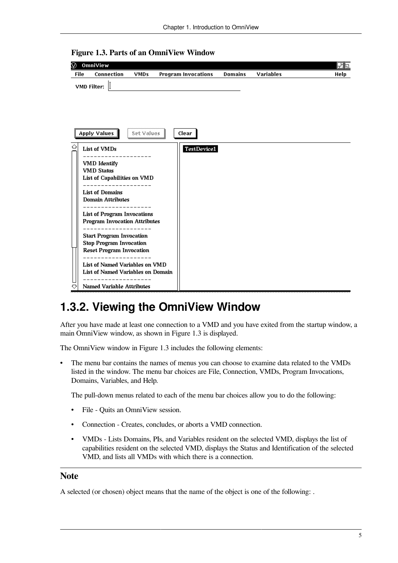

<span id="page-10-1"></span>**Figure 1.3. Parts of an OmniView Window**

## <span id="page-10-0"></span>**1.3.2. Viewing the OmniView Window**

After you have made at least one connection to a VMD and you have exited from the startup window, a main OmniView window, as shown in [Figure](#page-10-1) 1.3 is displayed.

The OmniView window in [Figure](#page-10-1) 1.3 includes the following elements:

• The menu bar contains the names of menus you can choose to examine data related to the VMDs listed in the window. The menu bar choices are File, Connection, VMDs, Program Invocations, Domains, Variables, and Help.

The pull-down menus related to each of the menu bar choices allow you to do the following:

- File Quits an OmniView session.
- Connection Creates, concludes, or aborts a VMD connection.
- VMDs Lists Domains, PIs, and Variables resident on the selected VMD, displays the list of capabilities resident on the selected VMD, displays the Status and Identification of the selected VMD, and lists all VMDs with which there is a connection.

#### **Note**

A selected (or chosen) object means that the name of the object is one of the following: .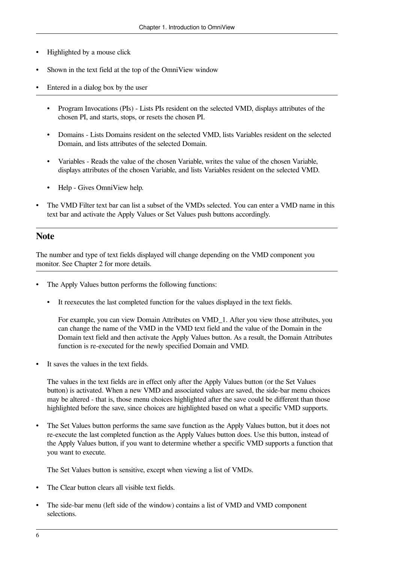- Highlighted by a mouse click
- Shown in the text field at the top of the OmniView window
- Entered in a dialog box by the user
	- Program Invocations (PIs) Lists PIs resident on the selected VMD, displays attributes of the chosen PI, and starts, stops, or resets the chosen PI.
	- Domains Lists Domains resident on the selected VMD, lists Variables resident on the selected Domain, and lists attributes of the selected Domain.
	- Variables Reads the value of the chosen Variable, writes the value of the chosen Variable, displays attributes of the chosen Variable, and lists Variables resident on the selected VMD.
	- Help Gives OmniView help.
- The VMD Filter text bar can list a subset of the VMDs selected. You can enter a VMD name in this text bar and activate the Apply Values or Set Values push buttons accordingly.

### **Note**

The number and type of text fields displayed will change depending on the VMD component you monitor. See [Chapter](#page-14-0) 2 for more details.

- The Apply Values button performs the following functions:
	- It reexecutes the last completed function for the values displayed in the text fields.

For example, you can view Domain Attributes on VMD\_1. After you view those attributes, you can change the name of the VMD in the VMD text field and the value of the Domain in the Domain text field and then activate the Apply Values button. As a result, the Domain Attributes function is re-executed for the newly specified Domain and VMD.

It saves the values in the text fields.

The values in the text fields are in effect only after the Apply Values button (or the Set Values button) is activated. When a new VMD and associated values are saved, the side-bar menu choices may be altered - that is, those menu choices highlighted after the save could be different than those highlighted before the save, since choices are highlighted based on what a specific VMD supports.

• The Set Values button performs the same save function as the Apply Values button, but it does not re-execute the last completed function as the Apply Values button does. Use this button, instead of the Apply Values button, if you want to determine whether a specific VMD supports a function that you want to execute.

The Set Values button is sensitive, except when viewing a list of VMDs.

- The Clear button clears all visible text fields.
- The side-bar menu (left side of the window) contains a list of VMD and VMD component selections.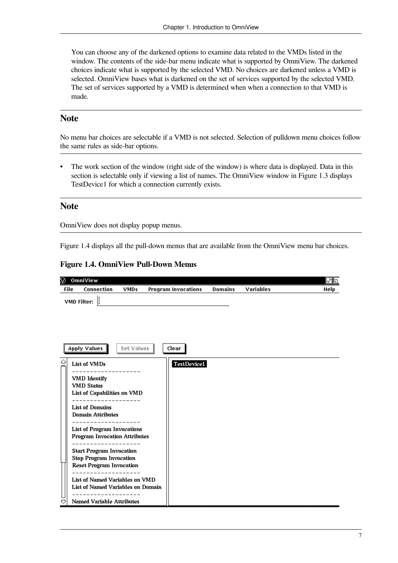You can choose any of the darkened options to examine data related to the VMDs listed in the window. The contents of the side-bar menu indicate what is supported by OmniView. The darkened choices indicate what is supported by the selected VMD. No choices are darkened unless a VMD is selected. OmniView bases what is darkened on the set of services supported by the selected VMD. The set of services supported by a VMD is determined when when a connection to that VMD is made.

### **Note**

No menu bar choices are selectable if a VMD is not selected. Selection of pulldown menu choices follow the same rules as side-bar options.

• The work section of the window (right side of the window) is where data is displayed. Data in this section is selectable only if viewing a list of names. The OmniView window in [Figure](#page-10-1) 1.3 displays TestDevice1 for which a connection currently exists.

#### **Note**

OmniView does not display popup menus.

<span id="page-12-0"></span>[Figure](#page-12-0) 1.4 displays all the pull-down menus that are available from the OmniView menu bar choices.

#### **Figure 1.4. OmniView Pull-Down Menus**

| Ø           | OmniView                                                                                                                                                                                                                                                                                                                                                                                                                                            |             |                            |                |                  | 団同   |
|-------------|-----------------------------------------------------------------------------------------------------------------------------------------------------------------------------------------------------------------------------------------------------------------------------------------------------------------------------------------------------------------------------------------------------------------------------------------------------|-------------|----------------------------|----------------|------------------|------|
| <b>File</b> | Connection                                                                                                                                                                                                                                                                                                                                                                                                                                          | <b>VMDs</b> | <b>Program Invocations</b> | <b>Domains</b> | <b>Variables</b> | Help |
|             | VMD Filter:                                                                                                                                                                                                                                                                                                                                                                                                                                         |             |                            |                |                  |      |
|             | Apply Values                                                                                                                                                                                                                                                                                                                                                                                                                                        | Set Values  | Clear                      |                |                  |      |
| △<br>♡      | List of VMDs<br>VMD Identify<br><b>VMD Status</b><br>List of Capabilities on VMD<br>--------<br><b>List of Domains</b><br><b>Domain Attributes</b><br><b>List of Program Invocations</b><br><b>Program Invocation Attributes</b><br><b>Start Program Invocation</b><br><b>Stop Program Invocation</b><br><b>Reset Program Invocation</b><br>List of Named Variables on VMD<br>List of Named Variables on Domain<br><b>Named Variable Attributes</b> |             | TestDevice1                |                |                  |      |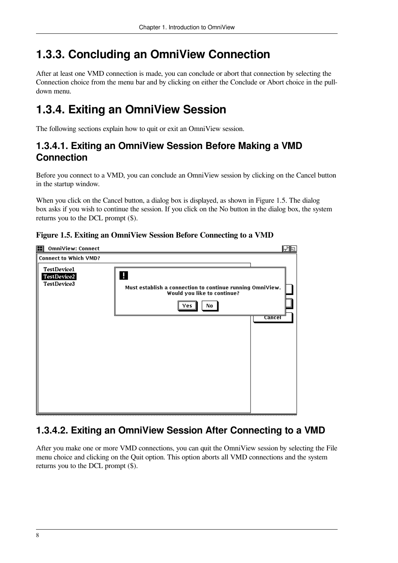# <span id="page-13-0"></span>**1.3.3. Concluding an OmniView Connection**

After at least one VMD connection is made, you can conclude or abort that connection by selecting the Connection choice from the menu bar and by clicking on either the Conclude or Abort choice in the pulldown menu.

# <span id="page-13-1"></span>**1.3.4. Exiting an OmniView Session**

The following sections explain how to quit or exit an OmniView session.

## <span id="page-13-2"></span>**1.3.4.1. Exiting an OmniView Session Before Making a VMD Connection**

Before you connect to a VMD, you can conclude an OmniView session by clicking on the Cancel button in the startup window.

When you click on the Cancel button, a dialog box is displayed, as shown in [Figure](#page-13-4) 1.5. The dialog box asks if you wish to continue the session. If you click on the No button in the dialog box, the system returns you to the DCL prompt (\$).

| H<br><b>OmniView: Connect</b><br>凶回                                                                                                                                      |
|--------------------------------------------------------------------------------------------------------------------------------------------------------------------------|
| <b>Connect to Which VMD?</b>                                                                                                                                             |
| TestDevice1<br>H<br>TestDevice2<br>TestDevice3<br>Must establish a connection to continue running OmniView.<br>Would you like to continue?<br>Yes<br>No<br><b>Cancel</b> |

#### <span id="page-13-4"></span>**Figure 1.5. Exiting an OmniView Session Before Connecting to a VMD**

## <span id="page-13-3"></span>**1.3.4.2. Exiting an OmniView Session After Connecting to a VMD**

After you make one or more VMD connections, you can quit the OmniView session by selecting the File menu choice and clicking on the Quit option. This option aborts all VMD connections and the system returns you to the DCL prompt (\$).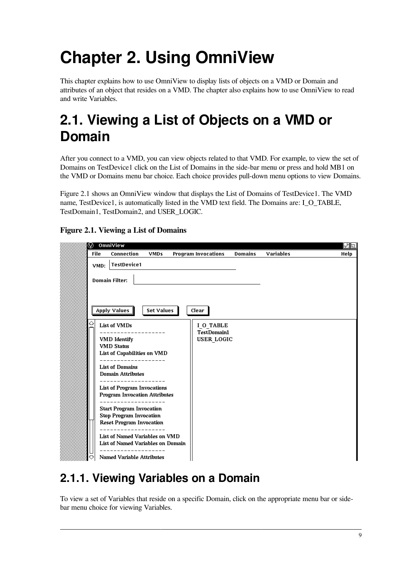# <span id="page-14-0"></span>**Chapter 2. Using OmniView**

This chapter explains how to use OmniView to display lists of objects on a VMD or Domain and attributes of an object that resides on a VMD. The chapter also explains how to use OmniView to read and write Variables.

# <span id="page-14-1"></span>**2.1. Viewing a List of Objects on a VMD or Domain**

After you connect to a VMD, you can view objects related to that VMD. For example, to view the set of Domains on TestDevice1 click on the List of Domains in the side-bar menu or press and hold MB1 on the VMD or Domains menu bar choice. Each choice provides pull-down menu options to view Domains.

[Figure](#page-14-3) 2.1 shows an OmniView window that displays the List of Domains of TestDevice1. The VMD name, TestDevice1, is automatically listed in the VMD text field. The Domains are: I\_O\_TABLE, TestDomain1, TestDomain2, and USER\_LOGIC.

|             | I⊙ OmniView                                                       |                   |                            |                |                  | 出回   |
|-------------|-------------------------------------------------------------------|-------------------|----------------------------|----------------|------------------|------|
| <b>File</b> | <b>Connection</b>                                                 | <b>VMDs</b>       | <b>Program Invocations</b> | <b>Domains</b> | <b>Variables</b> | Help |
| VMD:        | <b>TestDevice1</b>                                                |                   |                            |                |                  |      |
|             | <b>Domain Filter:</b>                                             |                   |                            |                |                  |      |
|             | Apply Values                                                      | <b>Set Values</b> | Clear                      |                |                  |      |
| ⇔           | List of VMDs                                                      |                   | I O TABLE                  |                |                  |      |
|             |                                                                   |                   | <b>TestDomain1</b>         |                |                  |      |
|             | <b>VMD</b> Identify<br><b>VMD Status</b>                          |                   | <b>USER LOGIC</b>          |                |                  |      |
|             | List of Capabilities on VMD                                       |                   |                            |                |                  |      |
|             |                                                                   |                   |                            |                |                  |      |
|             | <b>List of Domains</b><br><b>Domain Attributes</b>                |                   |                            |                |                  |      |
|             | <b>List of Program Invocations</b>                                |                   |                            |                |                  |      |
|             | <b>Program Invocation Attributes</b>                              |                   |                            |                |                  |      |
|             | <b>Start Program Invocation</b><br><b>Stop Program Invocation</b> |                   |                            |                |                  |      |
|             | <b>Reset Program Invocation</b>                                   |                   |                            |                |                  |      |
|             | List of Named Variables on VMD                                    |                   |                            |                |                  |      |
|             | List of Named Variables on Domain                                 |                   |                            |                |                  |      |
|             | <b>Named Variable Attributes</b>                                  |                   |                            |                |                  |      |

## <span id="page-14-3"></span>**Figure 2.1. Viewing a List of Domains**

# <span id="page-14-2"></span>**2.1.1. Viewing Variables on a Domain**

To view a set of Variables that reside on a specific Domain, click on the appropriate menu bar or sidebar menu choice for viewing Variables.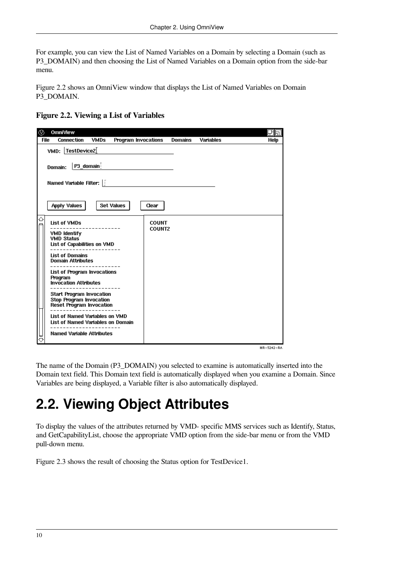For example, you can view the List of Named Variables on a Domain by selecting a Domain (such as P3\_DOMAIN) and then choosing the List of Named Variables on a Domain option from the side-bar menu.

[Figure](#page-15-1) 2.2 shows an OmniView window that displays the List of Named Variables on Domain P3\_DOMAIN.

<span id="page-15-1"></span>

| ⊛           | <b>OmniView</b>                                                                                      |             |                               |                |                  | 団団         |
|-------------|------------------------------------------------------------------------------------------------------|-------------|-------------------------------|----------------|------------------|------------|
| <b>File</b> | <b>Connection</b>                                                                                    | <b>VMDs</b> | <b>Program Invocations</b>    | <b>Domains</b> | <b>Variables</b> | Help       |
|             | VMD: TestDevice2                                                                                     |             |                               |                |                  |            |
|             | $ P3$ _domain $\frac{1}{2}$<br>Domain:                                                               |             |                               |                |                  |            |
|             | Named Variable Filter: $\left  \right $                                                              |             |                               |                |                  |            |
|             | <b>Apply Values</b>                                                                                  |             | <b>Set Values</b><br>Clear    |                |                  |            |
| △           | List of VMDs                                                                                         |             | <b>COUNT</b><br><b>COUNT2</b> |                |                  |            |
|             | <b>VMD Identify</b><br><b>VMD Status</b><br>List of Capabilities on VMD                              |             |                               |                |                  |            |
|             | <b>List of Domains</b><br><b>Domain Attributes</b>                                                   |             |                               |                |                  |            |
|             | <b>List of Program Invocations</b><br>Program<br><b>Invocation Attributes</b>                        |             |                               |                |                  |            |
|             | <b>Start Program Invocation</b><br><b>Stop Program Invocation</b><br><b>Reset Program Invocation</b> |             |                               |                |                  |            |
|             | List of Named Variables on VMD<br>List of Named Variables on Domain                                  |             |                               |                |                  |            |
|             | <b>Named Variable Attributes</b>                                                                     |             |                               |                |                  |            |
|             |                                                                                                      |             |                               |                |                  | MR-5242-RA |

The name of the Domain (P3\_DOMAIN) you selected to examine is automatically inserted into the Domain text field. This Domain text field is automatically displayed when you examine a Domain. Since Variables are being displayed, a Variable filter is also automatically displayed.

# <span id="page-15-0"></span>**2.2. Viewing Object Attributes**

To display the values of the attributes returned by VMD- specific MMS services such as Identify, Status, and GetCapabilityList, choose the appropriate VMD option from the side-bar menu or from the VMD pull-down menu.

[Figure](#page-16-0) 2.3 shows the result of choosing the Status option for TestDevice1.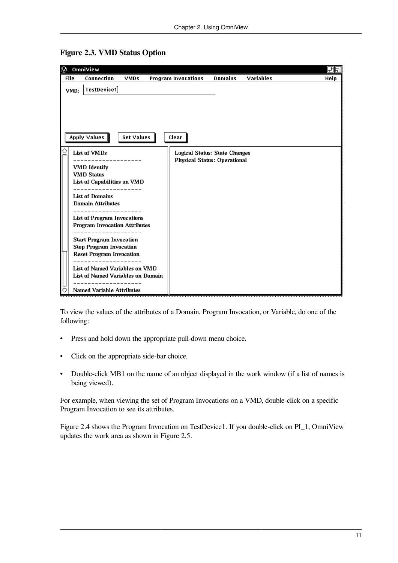

<span id="page-16-0"></span>**Figure 2.3. VMD Status Option**

To view the values of the attributes of a Domain, Program Invocation, or Variable, do one of the following:

- Press and hold down the appropriate pull-down menu choice.
- Click on the appropriate side-bar choice.
- Double-click MB1 on the name of an object displayed in the work window (if a list of names is being viewed).

For example, when viewing the set of Program Invocations on a VMD, double-click on a specific Program Invocation to see its attributes.

[Figure](#page-17-0) 2.4 shows the Program Invocation on TestDevice1. If you double-click on PI\_1, OmniView updates the work area as shown in [Figure](#page-18-0) 2.5.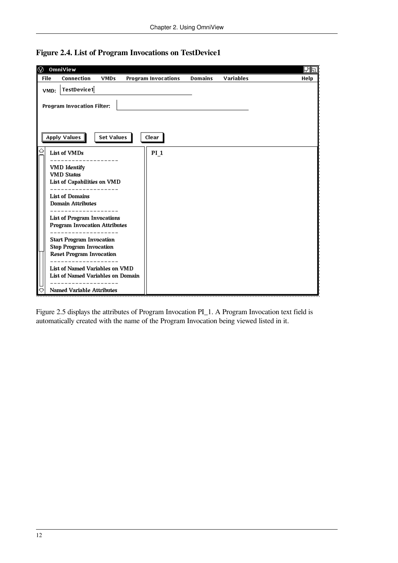

<span id="page-17-0"></span>

[Figure](#page-18-0) 2.5 displays the attributes of Program Invocation PI\_1. A Program Invocation text field is automatically created with the name of the Program Invocation being viewed listed in it.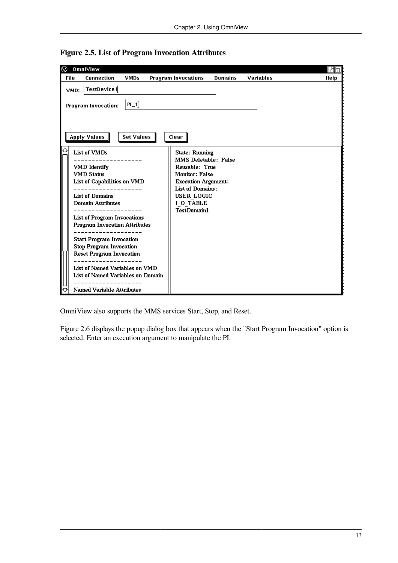

<span id="page-18-0"></span>**Figure 2.5. List of Program Invocation Attributes**

OmniView also supports the MMS services Start, Stop, and Reset.

[Figure](#page-19-1) 2.6 displays the popup dialog box that appears when the "Start Program Invocation" option is selected. Enter an execution argument to manipulate the PI.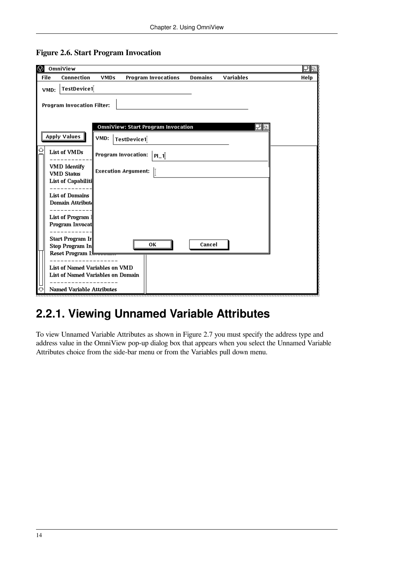|      | OmniView                                                            |             |                                    |                |           | 田国   |
|------|---------------------------------------------------------------------|-------------|------------------------------------|----------------|-----------|------|
| File | Connection                                                          | <b>VMDs</b> | <b>Program Invocations</b>         | <b>Domains</b> | Variables | Help |
| VMD: | TestDevice1                                                         |             |                                    |                |           |      |
|      |                                                                     |             |                                    |                |           |      |
|      | <b>Program Invocation Filter:</b>                                   |             |                                    |                |           |      |
|      |                                                                     |             |                                    |                |           |      |
|      |                                                                     |             | OmniView: Start Program Invocation |                | 田同        |      |
|      | Apply Values                                                        | VMD:        |                                    |                |           |      |
|      |                                                                     |             | TestDevice1                        |                |           |      |
|      | List of VMDs                                                        |             | Program Invocation:<br>PL1         |                |           |      |
|      |                                                                     |             |                                    |                |           |      |
|      | <b>VMD</b> Identify<br><b>VMD Status</b>                            |             | <b>Execution Argument:</b><br>ľ    |                |           |      |
|      | List of Capabiliti                                                  |             |                                    |                |           |      |
|      |                                                                     |             |                                    |                |           |      |
|      | <b>List of Domains</b>                                              |             |                                    |                |           |      |
|      | Domain Attribut                                                     |             |                                    |                |           |      |
|      | List of Program 1                                                   |             |                                    |                |           |      |
|      | Program Invocat                                                     |             |                                    |                |           |      |
|      | Start Program Ir                                                    |             |                                    |                |           |      |
|      | Stop Program In                                                     |             | ΟК                                 | Cancel         |           |      |
|      | ‼Reset Program I                                                    |             |                                    |                |           |      |
|      |                                                                     |             |                                    |                |           |      |
|      | List of Named Variables on VMD<br>List of Named Variables on Domain |             |                                    |                |           |      |
|      |                                                                     |             |                                    |                |           |      |
|      | <b>Named Variable Attributes</b>                                    |             |                                    |                |           |      |

#### <span id="page-19-1"></span>**Figure 2.6. Start Program Invocation**

## <span id="page-19-0"></span>**2.2.1. Viewing Unnamed Variable Attributes**

To view Unnamed Variable Attributes as shown in [Figure](#page-20-0) 2.7 you must specify the address type and address value in the OmniView pop-up dialog box that appears when you select the Unnamed Variable Attributes choice from the side-bar menu or from the Variables pull down menu.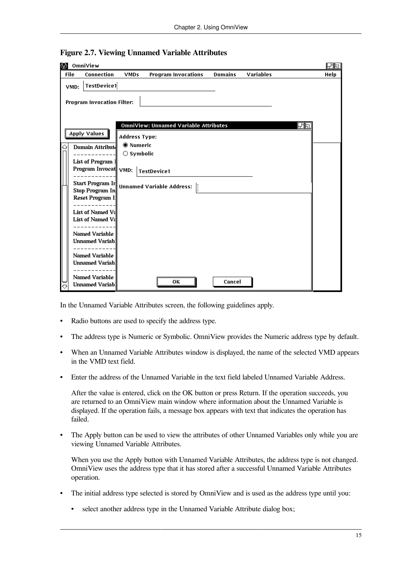|   |             | <b>O</b> OmniView                                                                              |                                                     |                                                        |                |           |    | 団団   |
|---|-------------|------------------------------------------------------------------------------------------------|-----------------------------------------------------|--------------------------------------------------------|----------------|-----------|----|------|
|   | <b>File</b> | Connection                                                                                     | <b>VMDs</b>                                         | <b>Program Invocations</b>                             | <b>Domains</b> | Variables |    | Help |
|   | VMD:        | TestDevice1<br><b>Program Invocation Filter:</b>                                               |                                                     |                                                        |                |           |    |      |
| ♤ |             | <b>Apply Values</b><br>Domain Attribut                                                         | <b>Address Type:</b><br><b><sup>●</sup></b> Numeric | <b>OmniView: Unnamed Variable Attributes</b>           |                |           | 団団 |      |
|   |             | List of Program 1<br>Program Invocat VMD:<br><b>Start Program Ir</b><br><b>Stop Program In</b> | $\bigcirc$ Symbolic                                 | <b>TestDevice1</b><br><b>Unnamed Variable Address:</b> |                |           |    |      |
|   |             | Reset Program I:<br>List of Named Va<br>List of Named Va                                       |                                                     |                                                        |                |           |    |      |
|   |             | Named Variable<br><b>Unnamed Variab</b><br>Named Variable                                      |                                                     |                                                        |                |           |    |      |
| € |             | <b>Unnamed Variab</b><br>Named Variable<br><b>Unnamed Variab</b>                               |                                                     | OК                                                     | Cancel         |           |    |      |

## <span id="page-20-0"></span>**Figure 2.7. Viewing Unnamed Variable Attributes**

In the Unnamed Variable Attributes screen, the following guidelines apply.

- Radio buttons are used to specify the address type.
- The address type is Numeric or Symbolic. OmniView provides the Numeric address type by default.
- When an Unnamed Variable Attributes window is displayed, the name of the selected VMD appears in the VMD text field.
- Enter the address of the Unnamed Variable in the text field labeled Unnamed Variable Address.

After the value is entered, click on the OK button or press Return. If the operation succeeds, you are returned to an OmniView main window where information about the Unnamed Variable is displayed. If the operation fails, a message box appears with text that indicates the operation has failed.

• The Apply button can be used to view the attributes of other Unnamed Variables only while you are viewing Unnamed Variable Attributes.

When you use the Apply button with Unnamed Variable Attributes, the address type is not changed. OmniView uses the address type that it has stored after a successful Unnamed Variable Attributes operation.

- The initial address type selected is stored by OmniView and is used as the address type until you:
	- select another address type in the Unnamed Variable Attribute dialog box;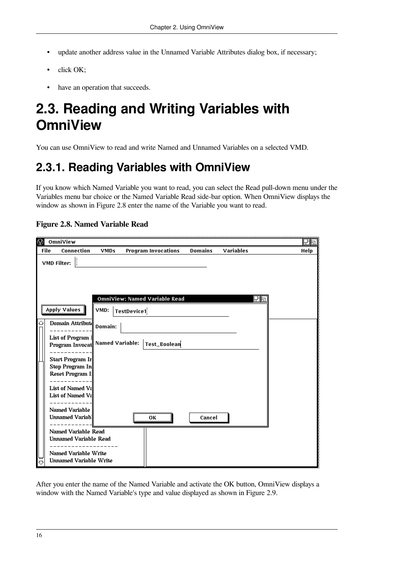- update another address value in the Unnamed Variable Attributes dialog box, if necessary;
- click OK;
- have an operation that succeeds.

# <span id="page-21-0"></span>**2.3. Reading and Writing Variables with OmniView**

<span id="page-21-1"></span>You can use OmniView to read and write Named and Unnamed Variables on a selected VMD.

# **2.3.1. Reading Variables with OmniView**

If you know which Named Variable you want to read, you can select the Read pull-down menu under the Variables menu bar choice or the Named Variable Read side-bar option. When OmniView displays the window as shown in [Figure](#page-21-2) 2.8 enter the name of the Variable you want to read.

|             | OmniView                                |                        |                                      |                |                  | 团同   |
|-------------|-----------------------------------------|------------------------|--------------------------------------|----------------|------------------|------|
| <b>File</b> | Connection                              | <b>VMDs</b>            | <b>Program Invocations</b>           | <b>Domains</b> | <b>Variables</b> | Help |
|             | I<br>VMD Filter:                        |                        |                                      |                |                  |      |
|             |                                         |                        |                                      |                |                  |      |
|             |                                         |                        |                                      |                |                  |      |
|             |                                         |                        |                                      |                |                  |      |
|             |                                         |                        | <b>OmniView: Named Variable Read</b> |                | 団団               |      |
|             | <b>Apply Values</b>                     | VMD:                   | TestDevice1                          |                |                  |      |
|             |                                         |                        |                                      |                |                  |      |
|             | Domain Attribut                         | Domain:                |                                      |                |                  |      |
|             | List of Program 1                       |                        |                                      |                |                  |      |
|             | Program Invocat                         | <b>Named Variable:</b> | Test_Boolean                         |                |                  |      |
|             | Start Program Ir                        |                        |                                      |                |                  |      |
|             | Stop Program In                         |                        |                                      |                |                  |      |
|             | Reset Program I:                        |                        |                                      |                |                  |      |
|             | List of Named Va                        |                        |                                      |                |                  |      |
|             | List of Named Va                        |                        |                                      |                |                  |      |
|             |                                         |                        |                                      |                |                  |      |
|             | Named Variable<br><b>Unnamed Variab</b> |                        | ΟК                                   | Cancel         |                  |      |
|             |                                         |                        |                                      |                |                  |      |
|             | Named Variable Read                     |                        |                                      |                |                  |      |
|             | <b>Unnamed Variable Read</b>            |                        |                                      |                |                  |      |
|             | Named Variable Write                    |                        |                                      |                |                  |      |
| ♡           | <b>Unnamed Variable Write</b>           |                        |                                      |                |                  |      |

### <span id="page-21-2"></span>**Figure 2.8. Named Variable Read**

After you enter the name of the Named Variable and activate the OK button, OmniView displays a window with the Named Variable's type and value displayed as shown in [Figure](#page-22-0) 2.9.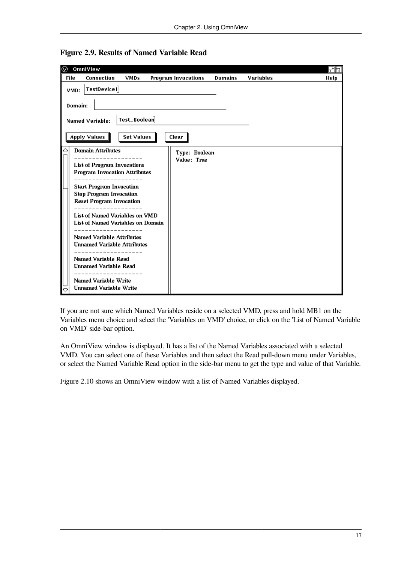| ⊛           | OmniView                                                                                                                                                                                                                                                                                                                                                                                                                                       |                   |                              |                |                  | 団同   |
|-------------|------------------------------------------------------------------------------------------------------------------------------------------------------------------------------------------------------------------------------------------------------------------------------------------------------------------------------------------------------------------------------------------------------------------------------------------------|-------------------|------------------------------|----------------|------------------|------|
| <b>File</b> | Connection                                                                                                                                                                                                                                                                                                                                                                                                                                     | <b>VMDs</b>       | <b>Program Invocations</b>   | <b>Domains</b> | <b>Variables</b> | Help |
| VMD:        | TestDevice1<br>Domain:<br><b>Named Variable:</b>                                                                                                                                                                                                                                                                                                                                                                                               | Test_Boolean      |                              |                |                  |      |
|             | Apply Values                                                                                                                                                                                                                                                                                                                                                                                                                                   | <b>Set Values</b> | Clear                        |                |                  |      |
| ♤           | <b>Domain Attributes</b><br><b>List of Program Invocations</b><br><b>Program Invocation Attributes</b><br><b>Start Program Invocation</b><br><b>Stop Program Invocation</b><br><b>Reset Program Invocation</b><br>List of Named Variables on VMD<br>List of Named Variables on Domain<br><b>Named Variable Attributes</b><br><b>Unnamed Variable Attributes</b><br>Named Variable Read<br><b>Unnamed Variable Read</b><br>Named Variable Write |                   | Type: Boolean<br>Value: True |                |                  |      |
|             | <b>Unnamed Variable Write</b>                                                                                                                                                                                                                                                                                                                                                                                                                  |                   |                              |                |                  |      |

<span id="page-22-0"></span>**Figure 2.9. Results of Named Variable Read**

If you are not sure which Named Variables reside on a selected VMD, press and hold MB1 on the Variables menu choice and select the 'Variables on VMD' choice, or click on the 'List of Named Variable on VMD' side-bar option.

An OmniView window is displayed. It has a list of the Named Variables associated with a selected VMD. You can select one of these Variables and then select the Read pull-down menu under Variables, or select the Named Variable Read option in the side-bar menu to get the type and value of that Variable.

[Figure](#page-23-0) 2.10 shows an OmniView window with a list of Named Variables displayed.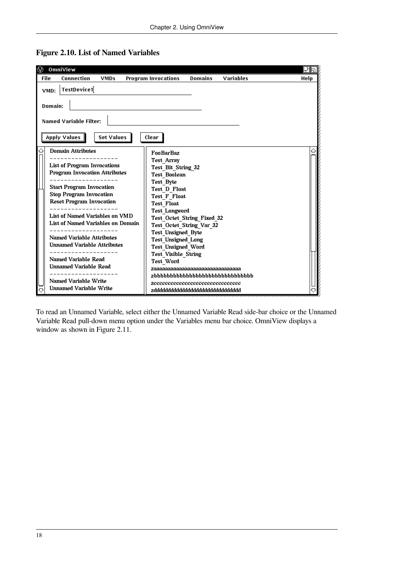

<span id="page-23-0"></span>**Figure 2.10. List of Named Variables**

To read an Unnamed Variable, select either the Unnamed Variable Read side-bar choice or the Unnamed Variable Read pull-down menu option under the Variables menu bar choice. OmniView displays a window as shown in [Figure](#page-24-0) 2.11.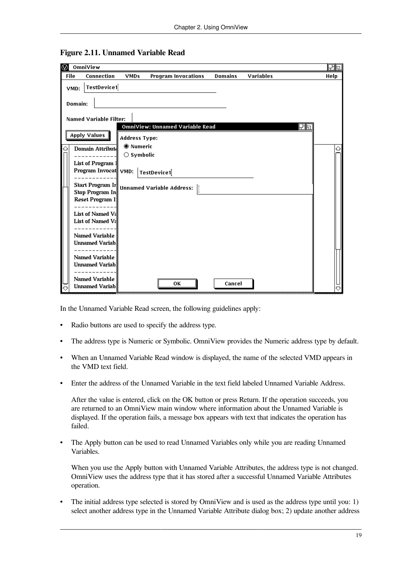| ⊛ | OmniView                                          |                                                     |                                  |                |                  |    | 田国   |
|---|---------------------------------------------------|-----------------------------------------------------|----------------------------------|----------------|------------------|----|------|
|   | <b>File</b><br>Connection                         | <b>VMDs</b>                                         | <b>Program Invocations</b>       | <b>Domains</b> | <b>Variables</b> |    | Help |
|   | TestDevice1<br>VMD:                               |                                                     |                                  |                |                  |    |      |
|   | Domain:                                           |                                                     |                                  |                |                  |    |      |
|   | <b>Named Variable Filter:</b>                     |                                                     |                                  |                |                  |    |      |
|   | <b>Apply Values</b>                               | <b>Address Type:</b>                                | OmniView: Unnamed Variable Read  |                |                  | 田同 |      |
| ♤ | Domain Attribut                                   | <b> <sup>●</sup></b> Numeric<br>$\bigcirc$ Symbolic |                                  |                |                  |    |      |
|   | List of Program 1<br>Program Invocat VMD:         |                                                     | TestDevice1                      |                |                  |    |      |
|   | <b>Start Program Ir</b><br><b>Stop Program In</b> |                                                     | <b>Unnamed Variable Address:</b> |                |                  |    |      |
|   | <b>Reset Program I</b>                            |                                                     |                                  |                |                  |    |      |
|   | List of Named Va<br>List of Named Va              |                                                     |                                  |                |                  |    |      |
|   | Named Variable<br><b>Unnamed Variab</b>           |                                                     |                                  |                |                  |    |      |
|   | Named Variable<br><b>Unnamed Variab</b> .         |                                                     |                                  |                |                  |    |      |
|   | Named Variable                                    |                                                     |                                  |                |                  |    |      |
|   | <b>Unnamed Variab.</b>                            |                                                     | OК                               | Cancel         |                  |    |      |

#### <span id="page-24-0"></span>**Figure 2.11. Unnamed Variable Read**

In the Unnamed Variable Read screen, the following guidelines apply:

- Radio buttons are used to specify the address type.
- The address type is Numeric or Symbolic. OmniView provides the Numeric address type by default.
- When an Unnamed Variable Read window is displayed, the name of the selected VMD appears in the VMD text field.
- Enter the address of the Unnamed Variable in the text field labeled Unnamed Variable Address.

After the value is entered, click on the OK button or press Return. If the operation succeeds, you are returned to an OmniView main window where information about the Unnamed Variable is displayed. If the operation fails, a message box appears with text that indicates the operation has failed.

• The Apply button can be used to read Unnamed Variables only while you are reading Unnamed Variables.

When you use the Apply button with Unnamed Variable Attributes, the address type is not changed. OmniView uses the address type that it has stored after a successful Unnamed Variable Attributes operation.

• The initial address type selected is stored by OmniView and is used as the address type until you: 1) select another address type in the Unnamed Variable Attribute dialog box; 2) update another address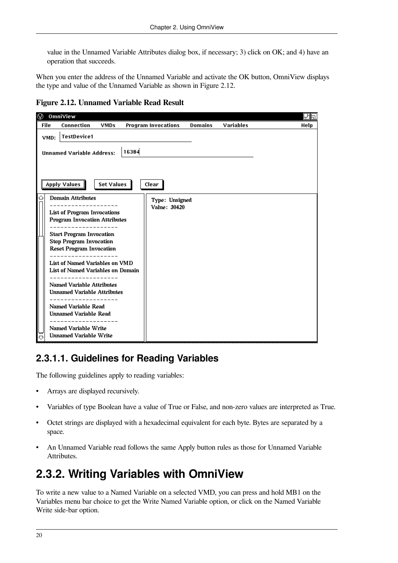value in the Unnamed Variable Attributes dialog box, if necessary; 3) click on OK; and 4) have an operation that succeeds.

When you enter the address of the Unnamed Variable and activate the OK button, OmniView displays the type and value of the Unnamed Variable as shown in [Figure](#page-25-2) 2.12.

<span id="page-25-2"></span>**Figure 2.12. Unnamed Variable Read Result**

| ⊛                                                                                                                                                                                                                                                                                                                                                                                                                                                                               | OmniView                                              |             |                                |                |                  | 団団   |
|---------------------------------------------------------------------------------------------------------------------------------------------------------------------------------------------------------------------------------------------------------------------------------------------------------------------------------------------------------------------------------------------------------------------------------------------------------------------------------|-------------------------------------------------------|-------------|--------------------------------|----------------|------------------|------|
| <b>File</b>                                                                                                                                                                                                                                                                                                                                                                                                                                                                     | <b>Connection</b>                                     | <b>VMDs</b> | <b>Program Invocations</b>     | <b>Domains</b> | <b>Variables</b> | Help |
|                                                                                                                                                                                                                                                                                                                                                                                                                                                                                 | <b>TestDevice1</b><br>VMD:                            |             |                                |                |                  |      |
|                                                                                                                                                                                                                                                                                                                                                                                                                                                                                 | <b>Unnamed Variable Address:</b>                      |             | 16384                          |                |                  |      |
|                                                                                                                                                                                                                                                                                                                                                                                                                                                                                 |                                                       |             | Clear                          |                |                  |      |
| <b>Set Values</b><br>Apply Values  <br><b>Domain Attributes</b><br><b>List of Program Invocations</b><br><b>Program Invocation Attributes</b><br><b>Start Program Invocation</b><br><b>Stop Program Invocation</b><br><b>Reset Program Invocation</b><br>List of Named Variables on VMD<br>List of Named Variables on Domain<br>--------------<br><b>Named Variable Attributes</b><br><b>Unnamed Variable Attributes</b><br>Named Variable Read<br><b>Unnamed Variable Read</b> |                                                       |             | Type: Unsigned<br>Value: 30420 |                |                  |      |
|                                                                                                                                                                                                                                                                                                                                                                                                                                                                                 | Named Variable Write<br><b>Unnamed Variable Write</b> |             |                                |                |                  |      |

## <span id="page-25-0"></span>**2.3.1.1. Guidelines for Reading Variables**

The following guidelines apply to reading variables:

- Arrays are displayed recursively.
- Variables of type Boolean have a value of True or False, and non-zero values are interpreted as True.
- Octet strings are displayed with a hexadecimal equivalent for each byte. Bytes are separated by a space.
- An Unnamed Variable read follows the same Apply button rules as those for Unnamed Variable Attributes.

## <span id="page-25-1"></span>**2.3.2. Writing Variables with OmniView**

To write a new value to a Named Variable on a selected VMD, you can press and hold MB1 on the Variables menu bar choice to get the Write Named Variable option, or click on the Named Variable Write side-bar option.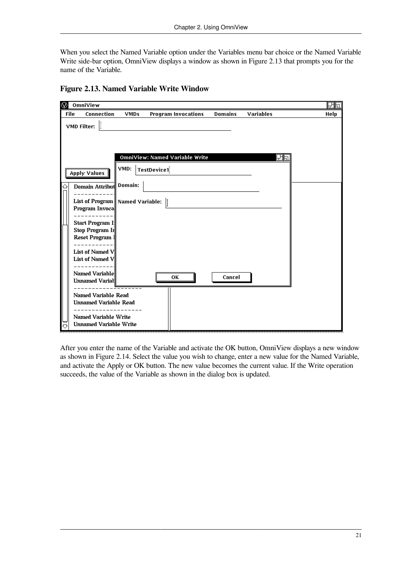When you select the Named Variable option under the Variables menu bar choice or the Named Variable Write side-bar option, OmniView displays a window as shown in [Figure](#page-26-0) 2.13 that prompts you for the name of the Variable.

| ⊛ | OmniView                                                                                                                                                                                          |                                               |                                       |                |                  | 団団   |
|---|---------------------------------------------------------------------------------------------------------------------------------------------------------------------------------------------------|-----------------------------------------------|---------------------------------------|----------------|------------------|------|
|   | <b>File</b><br>Connection                                                                                                                                                                         | <b>VMDs</b>                                   | <b>Program Invocations</b>            | <b>Domains</b> | <b>Variables</b> | Help |
|   | I<br>VMD Filter:                                                                                                                                                                                  |                                               |                                       |                |                  |      |
|   |                                                                                                                                                                                                   |                                               | <b>OmniView: Named Variable Write</b> |                | 団同               |      |
|   | <b>Apply Values</b>                                                                                                                                                                               | VMD:                                          | TestDevice1                           |                |                  |      |
| ↩ | Domain Attribut<br>Program Invoca<br><b>Start Program I:</b><br>Stop Program Ir<br>Reset Program 1<br><b>List of Named V</b><br><b>List of Named V</b><br>Named Variable<br><b>Unnamed Varial</b> | Domain:<br>List of Program    Named Variable: | ОΚ                                    | Cancel         |                  |      |
|   | Named Variable Read<br><b>Unnamed Variable Read</b><br>Named Variable Write<br><b>Unnamed Variable Write</b>                                                                                      |                                               |                                       |                |                  |      |

#### <span id="page-26-0"></span>**Figure 2.13. Named Variable Write Window**

After you enter the name of the Variable and activate the OK button, OmniView displays a new window as shown in [Figure](#page-27-0) 2.14. Select the value you wish to change, enter a new value for the Named Variable, and activate the Apply or OK button. The new value becomes the current value. If the Write operation succeeds, the value of the Variable as shown in the dialog box is updated.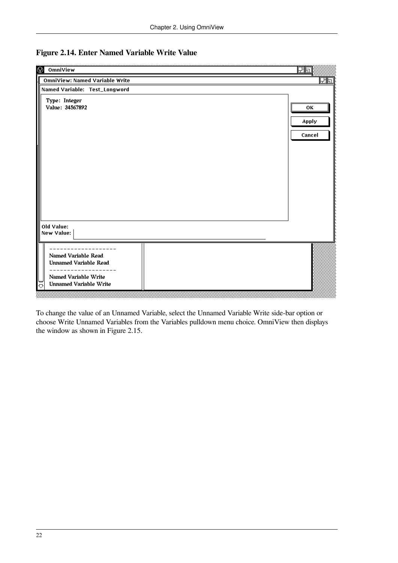| $^{\circledR}$<br>OmniView                                                                                                 | 団団          |  |  |
|----------------------------------------------------------------------------------------------------------------------------|-------------|--|--|
| <b>OmniView: Named Variable Write</b>                                                                                      | 田国          |  |  |
| Named Variable: Test_Longword                                                                                              |             |  |  |
| Type: Integer<br>Value: 34567892                                                                                           | ΟК<br>Apply |  |  |
|                                                                                                                            | Cancel      |  |  |
|                                                                                                                            |             |  |  |
|                                                                                                                            |             |  |  |
|                                                                                                                            |             |  |  |
| Old Value:<br>New Value:                                                                                                   |             |  |  |
| Named Variable Read<br><b>Unnamed Variable Read</b><br>$- -$<br>Named Variable Write<br><b>Unnamed Variable Write</b><br>や |             |  |  |

## <span id="page-27-0"></span>**Figure 2.14. Enter Named Variable Write Value**

To change the value of an Unnamed Variable, select the Unnamed Variable Write side-bar option or choose Write Unnamed Variables from the Variables pulldown menu choice. OmniView then displays the window as shown in [Figure](#page-28-0) 2.15.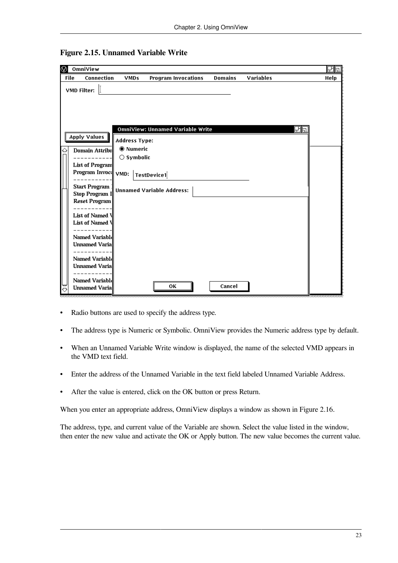| $\circledR$ | OmniView                                                    |                      |                                         |                |                  |    | 田同   |
|-------------|-------------------------------------------------------------|----------------------|-----------------------------------------|----------------|------------------|----|------|
| <b>File</b> | Connection                                                  | <b>VMDs</b>          | <b>Program Invocations</b>              | <b>Domains</b> | <b>Variables</b> |    | Help |
| VMD Filter: |                                                             |                      |                                         |                |                  |    |      |
|             |                                                             |                      |                                         |                |                  |    |      |
|             |                                                             |                      |                                         |                |                  |    |      |
|             |                                                             |                      |                                         |                |                  |    |      |
|             |                                                             |                      | <b>OmniView: Unnamed Variable Write</b> |                |                  | 団団 |      |
|             | <b>Apply Values</b>                                         |                      |                                         |                |                  |    |      |
|             |                                                             | <b>Address Type:</b> |                                         |                |                  |    |      |
| ♤           | Domain Attribu                                              | <b>Mumeric</b>       |                                         |                |                  |    |      |
|             |                                                             | $\bigcirc$ Symbolic  |                                         |                |                  |    |      |
|             | List of Program                                             |                      |                                         |                |                  |    |      |
|             | Program Invoci VMD:                                         |                      | TestDevice1                             |                |                  |    |      |
|             | <b>Start Program</b>                                        |                      |                                         |                |                  |    |      |
|             | <b>Stop Program I</b>                                       |                      | <b>Unnamed Variable Address:</b>        |                |                  |    |      |
|             | <b>Reset Program</b>                                        |                      |                                         |                |                  |    |      |
|             |                                                             |                      |                                         |                |                  |    |      |
|             | List of Named \                                             |                      |                                         |                |                  |    |      |
|             | List of Named \                                             |                      |                                         |                |                  |    |      |
|             | Named Variable                                              |                      |                                         |                |                  |    |      |
|             | <b>Unnamed Varia</b>                                        |                      |                                         |                |                  |    |      |
|             |                                                             |                      |                                         |                |                  |    |      |
|             | Named Variabld                                              |                      |                                         |                |                  |    |      |
|             | <b>Unnamed Varia</b>                                        |                      |                                         |                |                  |    |      |
|             |                                                             |                      |                                         |                |                  |    |      |
|             | Named Variabld                                              |                      | ΟК                                      | Cancel         |                  |    |      |
|             | <b>Unnamed Varia</b><br>,,,,,,,,,,,,,,,,,,,,,,,,,,,,,,,,,,, |                      |                                         |                |                  |    |      |

<span id="page-28-0"></span>**Figure 2.15. Unnamed Variable Write**

- Radio buttons are used to specify the address type.
- The address type is Numeric or Symbolic. OmniView provides the Numeric address type by default.
- When an Unnamed Variable Write window is displayed, the name of the selected VMD appears in the VMD text field.
- Enter the address of the Unnamed Variable in the text field labeled Unnamed Variable Address.
- After the value is entered, click on the OK button or press Return.

When you enter an appropriate address, OmniView displays a window as shown in [Figure](#page-29-1) 2.16.

The address, type, and current value of the Variable are shown. Select the value listed in the window, then enter the new value and activate the OK or Apply button. The new value becomes the current value.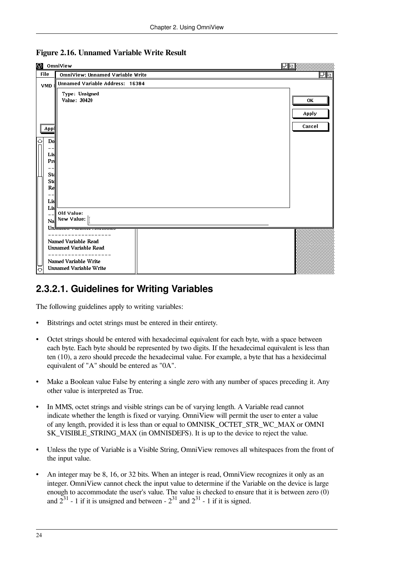| <b>O</b> OmniView                            |                                                                                                                                                                                          | 团団                    |
|----------------------------------------------|------------------------------------------------------------------------------------------------------------------------------------------------------------------------------------------|-----------------------|
| <b>File</b>                                  | OmniView: Unnamed Variable Write                                                                                                                                                         | 田団                    |
| <b>VMD</b>                                   | <b>Unnamed Variable Address: 16384</b>                                                                                                                                                   |                       |
| Appl<br>♦<br>Do<br>Lisl<br>Pri<br>Sta<br>Std | Type: Unsigned<br>Value: 30420                                                                                                                                                           | ΟК<br>Apply<br>Cancel |
| Re<br>Lis<br>Lis<br>Na<br>ᆖ<br>♡             | Old Value:<br>New Value:  <br><u>Un<del>kumaa , armore , maroa</del></u><br>Named Variable Read<br><b>Unnamed Variable Read</b><br>Named Variable Write<br><b>Unnamed Variable Write</b> |                       |

#### <span id="page-29-1"></span>**Figure 2.16. Unnamed Variable Write Result**

## <span id="page-29-0"></span>**2.3.2.1. Guidelines for Writing Variables**

The following guidelines apply to writing variables:

- Bitstrings and octet strings must be entered in their entirety.
- Octet strings should be entered with hexadecimal equivalent for each byte, with a space between each byte. Each byte should be represented by two digits. If the hexadecimal equivalent is less than ten (10), a zero should precede the hexadecimal value. For example, a byte that has a hexidecimal equivalent of "A" should be entered as "0A".
- Make a Boolean value False by entering a single zero with any number of spaces preceding it. Any other value is interpreted as True.
- In MMS, octet strings and visible strings can be of varying length. A Variable read cannot indicate whether the length is fixed or varying. OmniView will permit the user to enter a value of any length, provided it is less than or equal to OMNI\$K\_OCTET\_STR\_WC\_MAX or OMNI \$K\_VISIBLE\_STRING\_MAX (in OMNI\$DEFS). It is up to the device to reject the value.
- Unless the type of Variable is a Visible String, OmniView removes all whitespaces from the front of the input value.
- An integer may be 8, 16, or 32 bits. When an integer is read, OmniView recognizes it only as an integer. OmniView cannot check the input value to determine if the Variable on the device is large enough to accommodate the user's value. The value is checked to ensure that it is between zero (0) and  $2^{31}$  - 1 if it is unsigned and between -  $2^{31}$  and  $2^{31}$  - 1 if it is signed.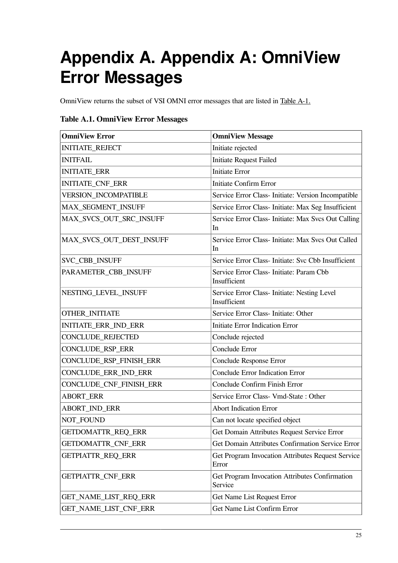# <span id="page-30-0"></span>**Appendix A. Appendix A: OmniView Error Messages**

OmniView returns the subset of VSI OMNI error messages that are listed in [Table](#page-30-1) A-1.

### <span id="page-30-1"></span>**Table A.1. OmniView Error Messages**

| <b>OmniView Error</b>       | <b>OmniView Message</b>                                      |
|-----------------------------|--------------------------------------------------------------|
| <b>INITIATE_REJECT</b>      | Initiate rejected                                            |
| <b>INITFAIL</b>             | <b>Initiate Request Failed</b>                               |
| <b>INITIATE_ERR</b>         | <b>Initiate Error</b>                                        |
| INITIATE_CNF_ERR            | <b>Initiate Confirm Error</b>                                |
| <b>VERSION_INCOMPATIBLE</b> | Service Error Class- Initiate: Version Incompatible          |
| MAX_SEGMENT_INSUFF          | Service Error Class- Initiate: Max Seg Insufficient          |
| MAX_SVCS_OUT_SRC_INSUFF     | Service Error Class- Initiate: Max Svcs Out Calling<br>In    |
| MAX_SVCS_OUT_DEST_INSUFF    | Service Error Class- Initiate: Max Svcs Out Called<br>In     |
| SVC_CBB_INSUFF              | Service Error Class- Initiate: Svc Cbb Insufficient          |
| PARAMETER_CBB_INSUFF        | Service Error Class- Initiate: Param Cbb<br>Insufficient     |
| NESTING_LEVEL_INSUFF        | Service Error Class- Initiate: Nesting Level<br>Insufficient |
| OTHER_INITIATE              | Service Error Class- Initiate: Other                         |
| INITIATE_ERR_IND_ERR        | <b>Initiate Error Indication Error</b>                       |
| CONCLUDE_REJECTED           | Conclude rejected                                            |
| CONCLUDE_RSP_ERR            | Conclude Error                                               |
| CONCLUDE_RSP_FINISH_ERR     | Conclude Response Error                                      |
| CONCLUDE_ERR_IND_ERR        | <b>Conclude Error Indication Error</b>                       |
| CONCLUDE_CNF_FINISH_ERR     | Conclude Confirm Finish Error                                |
| <b>ABORT_ERR</b>            | Service Error Class- Vmd-State: Other                        |
| <b>ABORT_IND_ERR</b>        | <b>Abort Indication Error</b>                                |
| NOT_FOUND                   | Can not locate specified object                              |
| <b>GETDOMATTR_REQ_ERR</b>   | Get Domain Attributes Request Service Error                  |
| GETDOMATTR_CNF_ERR          | Get Domain Attributes Confirmation Service Error             |
| GETPIATTR_REQ_ERR           | Get Program Invocation Attributes Request Service<br>Error   |
| <b>GETPIATTR_CNF_ERR</b>    | Get Program Invocation Attributes Confirmation<br>Service    |
| GET_NAME_LIST_REQ_ERR       | Get Name List Request Error                                  |
| GET_NAME_LIST_CNF_ERR       | Get Name List Confirm Error                                  |